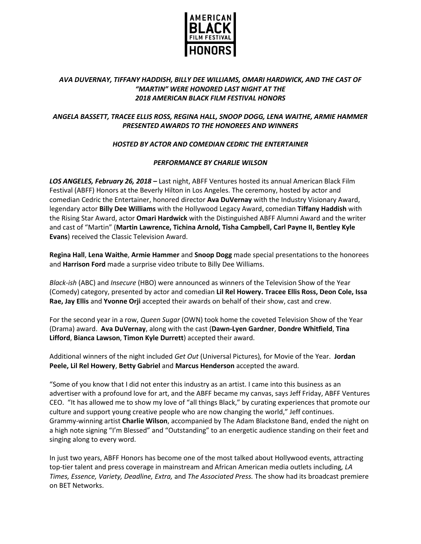

# *AVA DUVERNAY, TIFFANY HADDISH, BILLY DEE WILLIAMS, OMARI HARDWICK, AND THE CAST OF "MARTIN" WERE HONORED LAST NIGHT AT THE 2018 AMERICAN BLACK FILM FESTIVAL HONORS*

# *ANGELA BASSETT, TRACEE ELLIS ROSS, REGINA HALL, SNOOP DOGG, LENA WAITHE, ARMIE HAMMER PRESENTED AWARDS TO THE HONOREES AND WINNERS*

# *HOSTED BY ACTOR AND COMEDIAN CEDRIC THE ENTERTAINER*

#### *PERFORMANCE BY CHARLIE WILSON*

*LOS ANGELES, February 26, 2018* **–** Last night, ABFF Ventures hosted its annual American Black Film Festival (ABFF) Honors at the Beverly Hilton in Los Angeles. The ceremony, hosted by actor and comedian Cedric the Entertainer, honored director **Ava DuVernay** with the Industry Visionary Award, legendary actor **Billy Dee Williams** with the Hollywood Legacy Award, comedian **Tiffany Haddish** with the Rising Star Award, actor **Omari Hardwick** with the Distinguished ABFF Alumni Award and the writer and cast of "Martin" (**Martin Lawrence, Tichina Arnold, Tisha Campbell, Carl Payne II, Bentley Kyle Evans**) received the Classic Television Award.

**Regina Hall**, **Lena Waithe**, **Armie Hammer** and **Snoop Dogg** made special presentations to the honorees and **Harrison Ford** made a surprise video tribute to Billy Dee Williams.

*Black-ish* (ABC) and *Insecure* (HBO) were announced as winners of the Television Show of the Year (Comedy) category, presented by actor and comedian **Lil Rel Howery. Tracee Ellis Ross, Deon Cole, Issa Rae, Jay Ellis** and **Yvonne Orji** accepted their awards on behalf of their show, cast and crew.

For the second year in a row, *Queen Sugar* (OWN) took home the coveted Television Show of the Year (Drama) award. **Ava DuVernay**, along with the cast (**Dawn-Lyen Gardner**, **Dondre Whitfield**, **Tina Lifford**, **Bianca Lawson**, **Timon Kyle Durrett**) accepted their award.

Additional winners of the night included *Get Out* (Universal Pictures)*,* for Movie of the Year. **Jordan Peele, Lil Rel Howery**, **Betty Gabriel** and **Marcus Henderson** accepted the award.

"Some of you know that I did not enter this industry as an artist. I came into this business as an advertiser with a profound love for art, and the ABFF became my canvas, says Jeff Friday, ABFF Ventures CEO. "It has allowed me to show my love of "all things Black," by curating experiences that promote our culture and support young creative people who are now changing the world," Jeff continues. Grammy-winning artist **Charlie Wilson**, accompanied by The Adam Blackstone Band, ended the night on a high note signing "I'm Blessed" and "Outstanding" to an energetic audience standing on their feet and singing along to every word.

In just two years, ABFF Honors has become one of the most talked about Hollywood events, attracting top-tier talent and press coverage in mainstream and African American media outlets including*, LA Times, Essence, Variety, Deadline, Extra,* and *The Associated Press.* The show had its broadcast premiere on BET Networks.